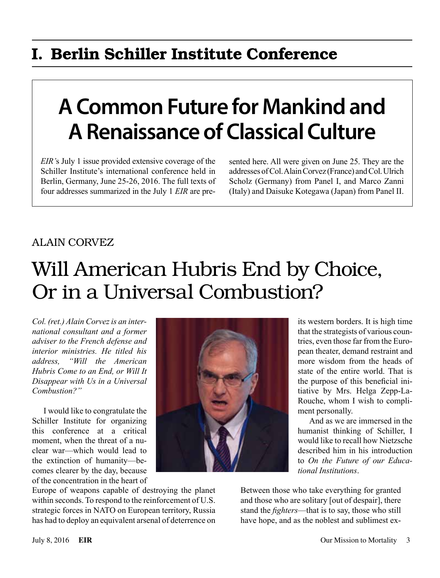# I. Berlin Schiller Institute Conference

# **A Common Future for Mankind and A Renaissance of Classical Culture**

*EIR'*s July 1 issue provided extensive coverage of the Schiller Institute's international conference held in Berlin, Germany, June 25-26, 2016. The full texts of four addresses summarized in the July 1 *EIR* are presented here. All were given on June 25. They are the addresses of Col. Alain Corvez (France) and Col. Ulrich Scholz (Germany) from Panel I, and Marco Zanni (Italy) and Daisuke Kotegawa (Japan) from Panel II.

# ALAIN CORVEZ

# Will American Hubris End by Choice, Or in a Universal Combustion?

*Col. (ret.) Alain Corvez is an international consultant and a former adviser to the French defense and interior ministries. He titled his address, "Will the American Hubris Come to an End, or Will It Disappear with Us in a Universal Combustion?"*

I would like to congratulate the Schiller Institute for organizing this conference at a critical moment, when the threat of a nuclear war—which would lead to the extinction of humanity—becomes clearer by the day, because of the concentration in the heart of



its western borders. It is high time that the strategists of various countries, even those far from the European theater, demand restraint and more wisdom from the heads of state of the entire world. That is the purpose of this beneficial initiative by Mrs. Helga Zepp-La-Rouche, whom I wish to compliment personally.

And as we are immersed in the humanist thinking of Schiller, I would like to recall how Nietzsche described him in his introduction to *On the Future of our Educational Institutions*.

Europe of weapons capable of destroying the planet within seconds. To respond to the reinforcement of U.S. strategic forces in NATO on European territory, Russia has had to deploy an equivalent arsenal of deterrence on Between those who take everything for granted and those who are solitary [out of despair], there stand the *fighters*—that is to say, those who still have hope, and as the noblest and sublimest ex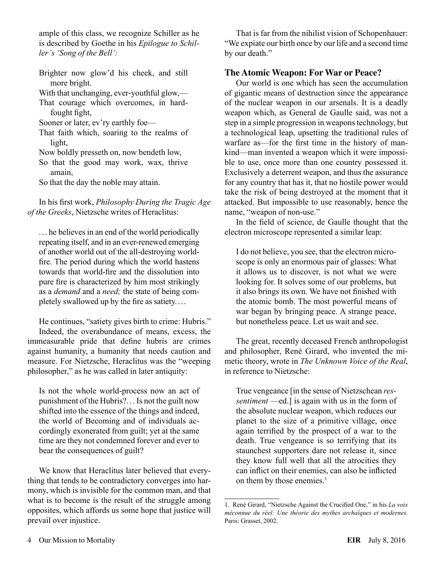ample of this class, we recognize Schiller as he is described by Goethe in his *Epilogue to Schiller's 'Song of the Bell':*

Brighter now glow'd his cheek, and still more bright.

With that unchanging, ever-youthful glow,— That courage which overcomes, in hardfought fight,

Sooner or later, ev'ry earthly foe—

That faith which, soaring to the realms of light,

Now boldly presseth on, now bendeth low,

So that the good may work, wax, thrive amain,

So that the day the noble may attain.

In his first work, *Philosophy During the Tragic Age of the Greeks*, Nietzsche writes of Heraclitus:

... he believes in an end of the world periodically repeating itself, and in an ever-renewed emerging of another world out of the all-destroying worldfire. The period during which the world hastens towards that world-fire and the dissolution into pure fire is characterized by him most strikingly as a *demand* and a *need;* the state of being completely swallowed up by the fire as satiety....

He continues, "satiety gives birth to crime: Hubris." Indeed, the overabundance of means, excess, the immeasurable pride that define hubris are crimes against humanity, a humanity that needs caution and measure. For Nietzsche, Heraclitus was the "weeping philosopher," as he was called in later antiquity:

Is not the whole world-process now an act of punishment of the Hubris?.. . Is not the guilt now shifted into the essence of the things and indeed, the world of Becoming and of individuals accordingly exonerated from guilt; yet at the same time are they not condemned forever and ever to bear the consequences of guilt?

We know that Heraclitus later believed that everything that tends to be contradictory converges into harmony, which is invisible for the common man, and that what is to become is the result of the struggle among opposites, which affords us some hope that justice will prevail over injustice.

That is far from the nihilist vision of Schopenhauer: "We expiate our birth once by our life and a second time by our death."

## **The Atomic Weapon: For War or Peace?**

Our world is one which has seen the accumulation of gigantic means of destruction since the appearance of the nuclear weapon in our arsenals. It is a deadly weapon which, as General de Gaulle said, was not a step in a simple progression in weapons technology, but a technological leap, upsetting the traditional rules of warfare as—for the first time in the history of mankind—man invented a weapon which it were impossible to use, once more than one country possessed it. Exclusively a deterrent weapon, and thus the assurance for any country that has it, that no hostile power would take the risk of being destroyed at the moment that it attacked. But impossible to use reasonably, hence the name, "weapon of non-use."

In the field of science, de Gaulle thought that the electron microscope represented a similar leap:

I do not believe, you see, that the electron microscope is only an enormous pair of glasses: What it allows us to discover, is not what we were looking for. It solves some of our problems, but it also brings its own. We have not finished with the atomic bomb. The most powerful means of war began by bringing peace. A strange peace, but nonetheless peace. Let us wait and see.

The great, recently deceased French anthropologist and philosopher, René Girard, who invented the mimetic theory, wrote in *The Unknown Voice of the Real*, in reference to Nietzsche:

True vengeance [in the sense of Nietzschean *ressentiment* —ed.] is again with us in the form of the absolute nuclear weapon, which reduces our planet to the size of a primitive village, once again terrified by the prospect of a war to the death. True vengeance is so terrifying that its staunchest supporters dare not release it, since they know full well that all the atrocities they can inflict on their enemies, can also be inflicted on them by those enemies.<sup>1</sup>

<sup>1.</sup> René Girard, "Nietzsche Against the Crucified One," in his *La voix méconnue du réel: Une théorie des mythes archaïques et modernes*. Paris: Grasset, 2002.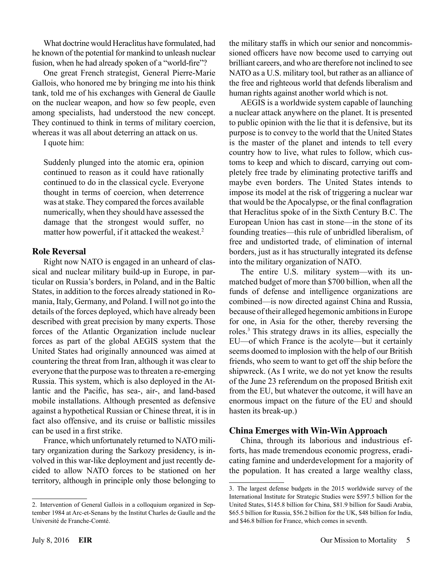What doctrine would Heraclitus have formulated, had he known of the potential for mankind to unleash nuclear fusion, when he had already spoken of a "world-fire"?

One great French strategist, General Pierre-Marie Gallois, who honored me by bringing me into his think tank, told me of his exchanges with General de Gaulle on the nuclear weapon, and how so few people, even among specialists, had understood the new concept. They continued to think in terms of military coercion, whereas it was all about deterring an attack on us.

I quote him:

Suddenly plunged into the atomic era, opinion continued to reason as it could have rationally continued to do in the classical cycle. Everyone thought in terms of coercion, when deterrence was at stake. They compared the forces available numerically, when they should have assessed the damage that the strongest would suffer, no matter how powerful, if it attacked the weakest.<sup>2</sup>

# **Role Reversal**

Right now NATO is engaged in an unheard of classical and nuclear military build-up in Europe, in particular on Russia's borders, in Poland, and in the Baltic States, in addition to the forces already stationed in Romania, Italy, Germany, and Poland. I will not go into the details of the forces deployed, which have already been described with great precision by many experts. Those forces of the Atlantic Organization include nuclear forces as part of the global AEGIS system that the United States had originally announced was aimed at countering the threat from Iran, although it was clear to everyone that the purpose was to threaten a re-emerging Russia. This system, which is also deployed in the Atlantic and the Pacific, has sea-, air-, and land-based mobile installations. Although presented as defensive against a hypothetical Russian or Chinese threat, it is in fact also offensive, and its cruise or ballistic missiles can be used in a first strike.

France, which unfortunately returned to NATO military organization during the Sarkozy presidency, is involved in this war-like deployment and just recently decided to allow NATO forces to be stationed on her territory, although in principle only those belonging to the military staffs in which our senior and noncommissioned officers have now become used to carrying out brilliant careers, and who are therefore not inclined to see NATO as a U.S. military tool, but rather as an alliance of the free and righteous world that defends liberalism and human rights against another world which is not.

AEGIS is a worldwide system capable of launching a nuclear attack anywhere on the planet. It is presented to public opinion with the lie that it is defensive, but its purpose is to convey to the world that the United States is the master of the planet and intends to tell every country how to live, what rules to follow, which customs to keep and which to discard, carrying out completely free trade by eliminating protective tariffs and maybe even borders. The United States intends to impose its model at the risk of triggering a nuclear war that would be the Apocalypse, or the final conflagration that Heraclitus spoke of in the Sixth Century B.C. The European Union has cast in stone—in the stone of its founding treaties—this rule of unbridled liberalism, of free and undistorted trade, of elimination of internal borders, just as it has structurally integrated its defense into the military organization of NATO.

The entire U.S. military system—with its unmatched budget of more than \$700 billion, when all the funds of defense and intelligence organizations are combined—is now directed against China and Russia, because of their alleged hegemonic ambitions in Europe for one, in Asia for the other, thereby reversing the roles.3 This strategy draws in its allies, especially the EU—of which France is the acolyte—but it certainly seems doomed to implosion with the help of our British friends, who seem to want to get off the ship before the shipwreck. (As I write, we do not yet know the results of the June 23 referendum on the proposed British exit from the EU, but whatever the outcome, it will have an enormous impact on the future of the EU and should hasten its break-up.)

# **China Emerges with Win-Win Approach**

China, through its laborious and industrious efforts, has made tremendous economic progress, eradicating famine and underdevelopment for a majority of the population. It has created a large wealthy class,

<sup>2.</sup> Intervention of General Gallois in a colloquium organized in September 1984 at Arc-et-Senans by the Institut Charles de Gaulle and the Université de Franche-Comté.

<sup>3.</sup> The largest defense budgets in the 2015 worldwide survey of the International Institute for Strategic Studies were \$597.5 billion for the United States, \$145.8 billion for China, \$81.9 billion for Saudi Arabia, \$65.5 billion for Russia, \$56.2 billion for the UK, \$48 billion for India, and \$46.8 billion for France, which comes in seventh.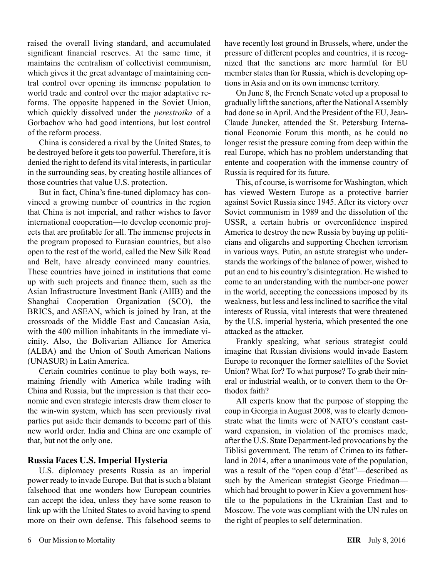raised the overall living standard, and accumulated significant financial reserves. At the same time, it maintains the centralism of collectivist communism, which gives it the great advantage of maintaining central control over opening its immense population to world trade and control over the major adaptative reforms. The opposite happened in the Soviet Union, which quickly dissolved under the *perestroika* of a Gorbachov who had good intentions, but lost control of the reform process.

China is considered a rival by the United States, to be destroyed before it gets too powerful. Therefore, it is denied the right to defend its vital interests, in particular in the surrounding seas, by creating hostile alliances of those countries that value U.S. protection.

But in fact, China's fine-tuned diplomacy has convinced a growing number of countries in the region that China is not imperial, and rather wishes to favor international cooperation—to develop economic projects that are profitable for all. The immense projects in the program proposed to Eurasian countries, but also open to the rest of the world, called the New Silk Road and Belt, have already convinced many countries. These countries have joined in institutions that come up with such projects and finance them, such as the Asian Infrastructure Investment Bank (AIIB) and the Shanghai Cooperation Organization (SCO), the BRICS, and ASEAN, which is joined by Iran, at the crossroads of the Middle East and Caucasian Asia, with the 400 million inhabitants in the immediate vicinity. Also, the Bolivarian Alliance for America (ALBA) and the Union of South American Nations (UNASUR) in Latin America.

Certain countries continue to play both ways, remaining friendly with America while trading with China and Russia, but the impression is that their economic and even strategic interests draw them closer to the win-win system, which has seen previously rival parties put aside their demands to become part of this new world order. India and China are one example of that, but not the only one.

### **Russia Faces U.S. Imperial Hysteria**

U.S. diplomacy presents Russia as an imperial power ready to invade Europe. But that is such a blatant falsehood that one wonders how European countries can accept the idea, unless they have some reason to link up with the United States to avoid having to spend more on their own defense. This falsehood seems to have recently lost ground in Brussels, where, under the pressure of different peoples and countries, it is recognized that the sanctions are more harmful for EU member states than for Russia, which is developing options in Asia and on its own immense territory.

On June 8, the French Senate voted up a proposal to gradually lift the sanctions, after the National Assembly had done so in April. And the President of the EU, Jean-Claude Juncker, attended the St. Petersburg International Economic Forum this month, as he could no longer resist the pressure coming from deep within the real Europe, which has no problem understanding that entente and cooperation with the immense country of Russia is required for its future.

This, of course, is worrisome for Washington, which has viewed Western Europe as a protective barrier against Soviet Russia since 1945. After its victory over Soviet communism in 1989 and the dissolution of the USSR, a certain hubris or overconfidence inspired America to destroy the new Russia by buying up politicians and oligarchs and supporting Chechen terrorism in various ways. Putin, an astute strategist who understands the workings of the balance of power, wished to put an end to his country's disintegration. He wished to come to an understanding with the number-one power in the world, accepting the concessions imposed by its weakness, but less and less inclined to sacrifice the vital interests of Russia, vital interests that were threatened by the U.S. imperial hysteria, which presented the one attacked as the attacker.

Frankly speaking, what serious strategist could imagine that Russian divisions would invade Eastern Europe to reconquer the former satellites of the Soviet Union? What for? To what purpose? To grab their mineral or industrial wealth, or to convert them to the Orthodox faith?

All experts know that the purpose of stopping the coup in Georgia in August 2008, was to clearly demonstrate what the limits were of NATO's constant eastward expansion, in violation of the promises made, after the U.S. State Department-led provocations by the Tiblisi government. The return of Crimea to its fatherland in 2014, after a unanimous vote of the population, was a result of the "open coup d'état"—described as such by the American strategist George Friedman which had brought to power in Kiev a government hostile to the populations in the Ukrainian East and to Moscow. The vote was compliant with the UN rules on the right of peoples to self determination.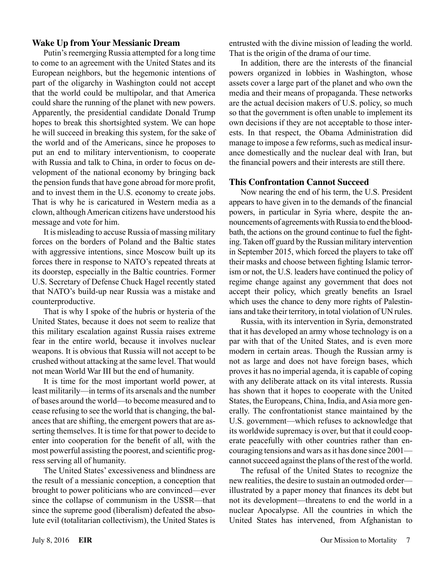### **Wake Up from Your Messianic Dream**

Putin's reemerging Russia attempted for a long time to come to an agreement with the United States and its European neighbors, but the hegemonic intentions of part of the oligarchy in Washington could not accept that the world could be multipolar, and that America could share the running of the planet with new powers. Apparently, the presidential candidate Donald Trump hopes to break this shortsighted system. We can hope he will succeed in breaking this system, for the sake of the world and of the Americans, since he proposes to put an end to military interventionism, to cooperate with Russia and talk to China, in order to focus on development of the national economy by bringing back the pension funds that have gone abroad for more profit, and to invest them in the U.S. economy to create jobs. That is why he is caricatured in Western media as a clown, although American citizens have understood his message and vote for him.

It is misleading to accuse Russia of massing military forces on the borders of Poland and the Baltic states with aggressive intentions, since Moscow built up its forces there in response to NATO's repeated threats at its doorstep, especially in the Baltic countries. Former U.S. Secretary of Defense Chuck Hagel recently stated that NATO's build-up near Russia was a mistake and counterproductive.

That is why I spoke of the hubris or hysteria of the United States, because it does not seem to realize that this military escalation against Russia raises extreme fear in the entire world, because it involves nuclear weapons. It is obvious that Russia will not accept to be crushed without attacking at the same level. That would not mean World War III but the end of humanity.

It is time for the most important world power, at least militarily—in terms of its arsenals and the number of bases around the world—to become measured and to cease refusing to see the world that is changing, the balances that are shifting, the emergent powers that are asserting themselves. It is time for that power to decide to enter into cooperation for the benefit of all, with the most powerful assisting the poorest, and scientific progress serving all of humanity.

The United States' excessiveness and blindness are the result of a messianic conception, a conception that brought to power politicians who are convinced—ever since the collapse of communism in the USSR—that since the supreme good (liberalism) defeated the absolute evil (totalitarian collectivism), the United States is

entrusted with the divine mission of leading the world. That is the origin of the drama of our time.

In addition, there are the interests of the financial powers organized in lobbies in Washington, whose assets cover a large part of the planet and who own the media and their means of propaganda. These networks are the actual decision makers of U.S. policy, so much so that the government is often unable to implement its own decisions if they are not acceptable to those interests. In that respect, the Obama Administration did manage to impose a few reforms, such as medical insurance domestically and the nuclear deal with Iran, but the financial powers and their interests are still there.

#### **This Confrontation Cannot Succeed**

Now nearing the end of his term, the U.S. President appears to have given in to the demands of the financial powers, in particular in Syria where, despite the announcements of agreements with Russia to end the bloodbath, the actions on the ground continue to fuel the fighting. Taken off guard by the Russian military intervention in September 2015, which forced the players to take off their masks and choose between fighting Islamic terrorism or not, the U.S. leaders have continued the policy of regime change against any government that does not accept their policy, which greatly benefits an Israel which uses the chance to deny more rights of Palestinians and take their territory, in total violation of UN rules.

Russia, with its intervention in Syria, demonstrated that it has developed an army whose technology is on a par with that of the United States, and is even more modern in certain areas. Though the Russian army is not as large and does not have foreign bases, which proves it has no imperial agenda, it is capable of coping with any deliberate attack on its vital interests. Russia has shown that it hopes to cooperate with the United States, the Europeans, China, India, and Asia more generally. The confrontationist stance maintained by the U.S. government—which refuses to acknowledge that its worldwide supremacy is over, but that it could cooperate peacefully with other countries rather than encouraging tensions and wars as it has done since 2001 cannot succeed against the plans of the rest of the world.

The refusal of the United States to recognize the new realities, the desire to sustain an outmoded order illustrated by a paper money that finances its debt but not its development—threatens to end the world in a nuclear Apocalypse. All the countries in which the United States has intervened, from Afghanistan to